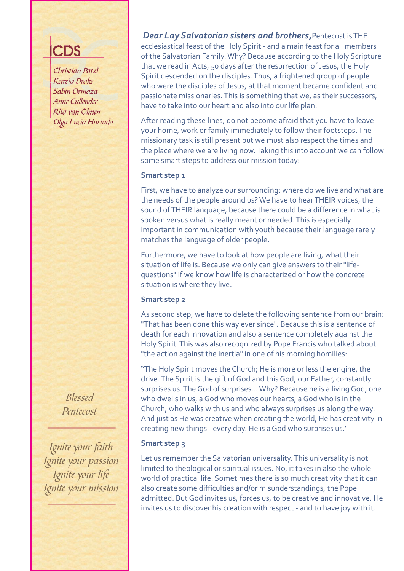Christian Patzl Kenzia Drake Sabin Ormaza Anne Cullender Rita van Olmen Olga Lucia Hurtado

> Blessed Pentecost

Ignite your faith Ignite your passion Ignite your life Ignite your mission

*Dear Lay Salvatorian sisters and brothers,*Pentecost is THE ecclesiastical feast of the Holy Spirit - and a main feast for all members of the Salvatorian Family. Why? Because according to the Holy Scripture that we read in Acts, 50 days after the resurrection of Jesus, the Holy Spirit descended on the disciples. Thus, a frightened group of people who were the disciples of Jesus, at that moment became confident and passionate missionaries. This is something that we, as their successors, have to take into our heart and also into our life plan.

After reading these lines, do not become afraid that you have to leave your home, work or family immediately to follow their footsteps. The missionary task is still present but we must also respect the times and the place where we are living now. Taking this into account we can follow some smart steps to address our mission today:

### **Smart step 1**

First, we have to analyze our surrounding: where do we live and what are the needs of the people around us? We have to hear THEIR voices, the sound of THEIR language, because there could be a difference in what is spoken versus what is really meant or needed. This is especially important in communication with youth because their language rarely matches the language of older people.

Furthermore, we have to look at how people are living, what their situation of life is. Because we only can give answers to their "lifequestions" if we know how life is characterized or how the concrete situation is where they live.

### **Smart step 2**

As second step, we have to delete the following sentence from our brain: "That has been done this way ever since". Because this is a sentence of death for each innovation and also a sentence completely against the Holy Spirit. This was also recognized by Pope Francis who talked about "the action against the inertia" in one of his morning homilies:

"The Holy Spirit moves the Church; He is more or less the engine, the drive. The Spirit is the gift of God and this God, our Father, constantly surprises us. The God of surprises... Why? Because he is a living God, one who dwells in us, a God who moves our hearts, a God who is in the Church, who walks with us and who always surprises us along the way. And just as He was creative when creating the world, He has creativity in creating new things - every day. He is a God who surprises us."

### **Smart step 3**

Let us remember the Salvatorian universality. This universality is not limited to theological or spiritual issues. No, it takes in also the whole world of practical life. Sometimes there is so much creativity that it can also create some difficulties and/or misunderstandings, the Pope admitted. But God invites us, forces us, to be creative and innovative. He invites us to discover his creation with respect - and to have joy with it.